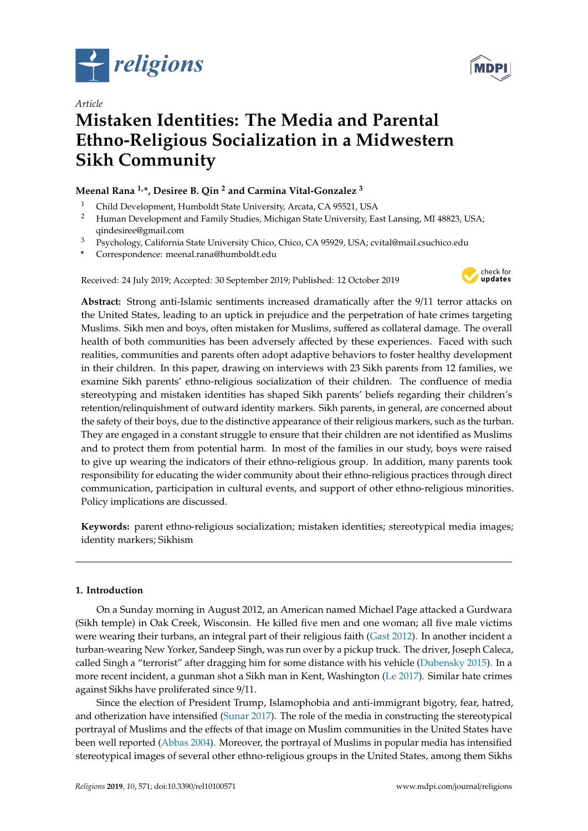

*Article*

# **Mistaken Identities: The Media and Parental Ethno-Religious Socialization in a Midwestern Sikh Community**

## **Meenal Rana 1,\*, Desiree B. Qin <sup>2</sup> and Carmina Vital-Gonzalez <sup>3</sup>**

- <sup>1</sup> Child Development, Humboldt State University, Arcata, CA 95521, USA
- <sup>2</sup> Human Development and Family Studies, Michigan State University, East Lansing, MI 48823, USA; qindesiree@gmail.com
- <sup>3</sup> Psychology, California State University Chico, Chico, CA 95929, USA; cvital@mail.csuchico.edu
- **\*** Correspondence: meenal.rana@humboldt.edu

Received: 24 July 2019; Accepted: 30 September 2019; Published: 12 October 2019



**Abstract:** Strong anti-Islamic sentiments increased dramatically after the 9/11 terror attacks on the United States, leading to an uptick in prejudice and the perpetration of hate crimes targeting Muslims. Sikh men and boys, often mistaken for Muslims, suffered as collateral damage. The overall health of both communities has been adversely affected by these experiences. Faced with such realities, communities and parents often adopt adaptive behaviors to foster healthy development in their children. In this paper, drawing on interviews with 23 Sikh parents from 12 families, we examine Sikh parents' ethno-religious socialization of their children. The confluence of media stereotyping and mistaken identities has shaped Sikh parents' beliefs regarding their children's retention/relinquishment of outward identity markers. Sikh parents, in general, are concerned about the safety of their boys, due to the distinctive appearance of their religious markers, such as the turban. They are engaged in a constant struggle to ensure that their children are not identified as Muslims and to protect them from potential harm. In most of the families in our study, boys were raised to give up wearing the indicators of their ethno-religious group. In addition, many parents took responsibility for educating the wider community about their ethno-religious practices through direct communication, participation in cultural events, and support of other ethno-religious minorities. Policy implications are discussed.

**Keywords:** parent ethno-religious socialization; mistaken identities; stereotypical media images; identity markers; Sikhism

## **1. Introduction**

On a Sunday morning in August 2012, an American named Michael Page attacked a Gurdwara (Sikh temple) in Oak Creek, Wisconsin. He killed five men and one woman; all five male victims were wearing their turbans, an integral part of their religious faith [\(Gast](#page-16-0) [2012\)](#page-16-0). In another incident a turban-wearing New Yorker, Sandeep Singh, was run over by a pickup truck. The driver, Joseph Caleca, called Singh a "terrorist" after dragging him for some distance with his vehicle [\(Dubensky](#page-15-0) [2015\)](#page-15-0). In a more recent incident, a gunman shot a Sikh man in Kent, Washington [\(Le](#page-16-1) [2017\)](#page-16-1). Similar hate crimes against Sikhs have proliferated since 9/11.

Since the election of President Trump, Islamophobia and anti-immigrant bigotry, fear, hatred, and otherization have intensified [\(Sunar](#page-17-0) [2017\)](#page-17-0). The role of the media in constructing the stereotypical portrayal of Muslims and the effects of that image on Muslim communities in the United States have been well reported [\(Abbas](#page-15-1) [2004\)](#page-15-1). Moreover, the portrayal of Muslims in popular media has intensified stereotypical images of several other ethno-religious groups in the United States, among them Sikhs

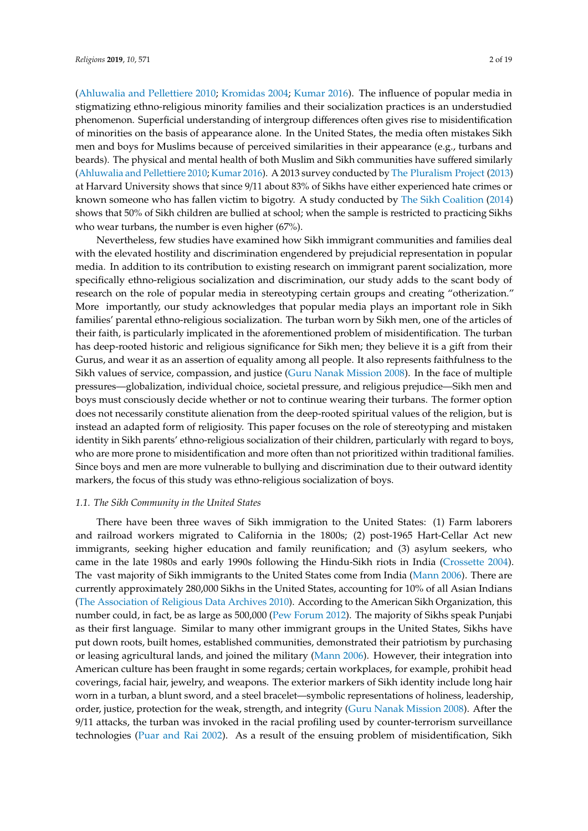[\(Ahluwalia and Pellettiere](#page-15-2) [2010;](#page-15-2) [Kromidas](#page-16-2) [2004;](#page-16-2) [Kumar](#page-16-3) [2016\)](#page-16-3). The influence of popular media in stigmatizing ethno-religious minority families and their socialization practices is an understudied phenomenon. Superficial understanding of intergroup differences often gives rise to misidentification of minorities on the basis of appearance alone. In the United States, the media often mistakes Sikh men and boys for Muslims because of perceived similarities in their appearance (e.g., turbans and beards). The physical and mental health of both Muslim and Sikh communities have suffered similarly [\(Ahluwalia and Pellettiere](#page-15-2) [2010;](#page-15-2) [Kumar](#page-16-3) [2016\)](#page-16-3). A 2013 survey conducted by [The Pluralism Project](#page-17-1) [\(2013\)](#page-17-1) at Harvard University shows that since 9/11 about 83% of Sikhs have either experienced hate crimes or known someone who has fallen victim to bigotry. A study conducted by [The Sikh Coalition](#page-17-2) [\(2014\)](#page-17-2) shows that 50% of Sikh children are bullied at school; when the sample is restricted to practicing Sikhs who wear turbans, the number is even higher (67%).

Nevertheless, few studies have examined how Sikh immigrant communities and families deal with the elevated hostility and discrimination engendered by prejudicial representation in popular media. In addition to its contribution to existing research on immigrant parent socialization, more specifically ethno-religious socialization and discrimination, our study adds to the scant body of research on the role of popular media in stereotyping certain groups and creating "otherization." More importantly, our study acknowledges that popular media plays an important role in Sikh families' parental ethno-religious socialization. The turban worn by Sikh men, one of the articles of their faith, is particularly implicated in the aforementioned problem of misidentification. The turban has deep-rooted historic and religious significance for Sikh men; they believe it is a gift from their Gurus, and wear it as an assertion of equality among all people. It also represents faithfulness to the Sikh values of service, compassion, and justice [\(Guru Nanak Mission](#page-16-4) [2008\)](#page-16-4). In the face of multiple pressures—globalization, individual choice, societal pressure, and religious prejudice—Sikh men and boys must consciously decide whether or not to continue wearing their turbans. The former option does not necessarily constitute alienation from the deep-rooted spiritual values of the religion, but is instead an adapted form of religiosity. This paper focuses on the role of stereotyping and mistaken identity in Sikh parents' ethno-religious socialization of their children, particularly with regard to boys, who are more prone to misidentification and more often than not prioritized within traditional families. Since boys and men are more vulnerable to bullying and discrimination due to their outward identity markers, the focus of this study was ethno-religious socialization of boys.

## *1.1. The Sikh Community in the United States*

There have been three waves of Sikh immigration to the United States: (1) Farm laborers and railroad workers migrated to California in the 1800s; (2) post-1965 Hart-Cellar Act new immigrants, seeking higher education and family reunification; and (3) asylum seekers, who came in the late 1980s and early 1990s following the Hindu-Sikh riots in India [\(Crossette](#page-15-3) [2004\)](#page-15-3). The vast majority of Sikh immigrants to the United States come from India [\(Mann](#page-17-3) [2006\)](#page-17-3). There are currently approximately 280,000 Sikhs in the United States, accounting for 10% of all Asian Indians [\(The Association of Religious Data Archives](#page-17-4) [2010\)](#page-17-4). According to the American Sikh Organization, this number could, in fact, be as large as 500,000 [\(Pew Forum](#page-17-5) [2012\)](#page-17-5). The majority of Sikhs speak Punjabi as their first language. Similar to many other immigrant groups in the United States, Sikhs have put down roots, built homes, established communities, demonstrated their patriotism by purchasing or leasing agricultural lands, and joined the military [\(Mann](#page-17-3) [2006\)](#page-17-3). However, their integration into American culture has been fraught in some regards; certain workplaces, for example, prohibit head coverings, facial hair, jewelry, and weapons. The exterior markers of Sikh identity include long hair worn in a turban, a blunt sword, and a steel bracelet—symbolic representations of holiness, leadership, order, justice, protection for the weak, strength, and integrity [\(Guru Nanak Mission](#page-16-4) [2008\)](#page-16-4). After the 9/11 attacks, the turban was invoked in the racial profiling used by counter-terrorism surveillance technologies [\(Puar and Rai](#page-17-6) [2002\)](#page-17-6). As a result of the ensuing problem of misidentification, Sikh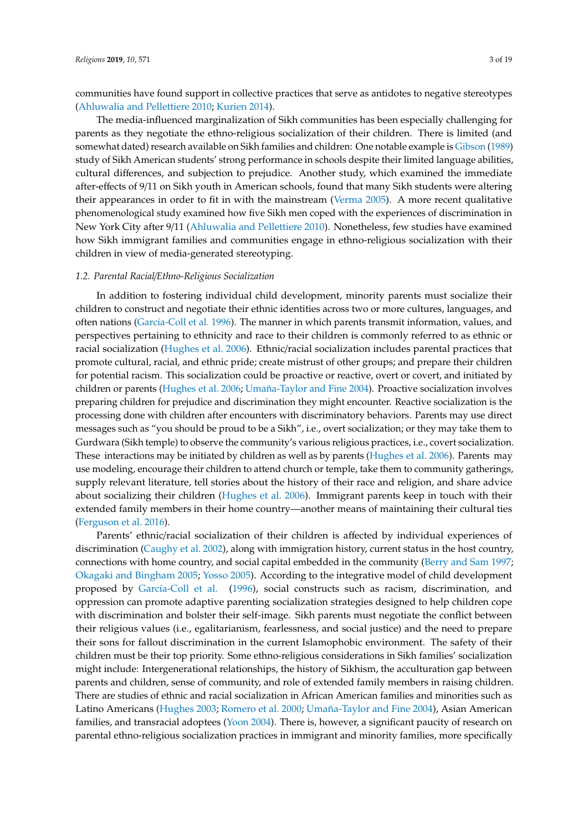communities have found support in collective practices that serve as antidotes to negative stereotypes [\(Ahluwalia and Pellettiere](#page-15-2) [2010;](#page-15-2) [Kurien](#page-16-5) [2014\)](#page-16-5).

The media-influenced marginalization of Sikh communities has been especially challenging for parents as they negotiate the ethno-religious socialization of their children. There is limited (and somewhat dated) research available on Sikh families and children: One notable example is [Gibson](#page-16-6) [\(1989\)](#page-16-6) study of Sikh American students' strong performance in schools despite their limited language abilities, cultural differences, and subjection to prejudice. Another study, which examined the immediate after-effects of 9/11 on Sikh youth in American schools, found that many Sikh students were altering their appearances in order to fit in with the mainstream [\(Verma](#page-17-7) [2005\)](#page-17-7). A more recent qualitative phenomenological study examined how five Sikh men coped with the experiences of discrimination in New York City after 9/11 [\(Ahluwalia and Pellettiere](#page-15-2) [2010\)](#page-15-2). Nonetheless, few studies have examined how Sikh immigrant families and communities engage in ethno-religious socialization with their children in view of media-generated stereotyping.

## *1.2. Parental Racial*/*Ethno-Religious Socialization*

In addition to fostering individual child development, minority parents must socialize their children to construct and negotiate their ethnic identities across two or more cultures, languages, and often nations (Garcí[a-Coll et al.](#page-16-7) [1996\)](#page-16-7). The manner in which parents transmit information, values, and perspectives pertaining to ethnicity and race to their children is commonly referred to as ethnic or racial socialization [\(Hughes et al.](#page-16-8) [2006\)](#page-16-8). Ethnic/racial socialization includes parental practices that promote cultural, racial, and ethnic pride; create mistrust of other groups; and prepare their children for potential racism. This socialization could be proactive or reactive, overt or covert, and initiated by children or parents [\(Hughes et al.](#page-16-8) [2006;](#page-16-8) [Umaña-Taylor and Fine](#page-17-8) [2004\)](#page-17-8). Proactive socialization involves preparing children for prejudice and discrimination they might encounter. Reactive socialization is the processing done with children after encounters with discriminatory behaviors. Parents may use direct messages such as "you should be proud to be a Sikh", i.e., overt socialization; or they may take them to Gurdwara (Sikh temple) to observe the community's various religious practices, i.e., covert socialization. These interactions may be initiated by children as well as by parents [\(Hughes et al.](#page-16-8) [2006\)](#page-16-8). Parents may use modeling, encourage their children to attend church or temple, take them to community gatherings, supply relevant literature, tell stories about the history of their race and religion, and share advice about socializing their children [\(Hughes et al.](#page-16-8) [2006\)](#page-16-8). Immigrant parents keep in touch with their extended family members in their home country—another means of maintaining their cultural ties [\(Ferguson et al.](#page-16-9) [2016\)](#page-16-9).

Parents' ethnic/racial socialization of their children is affected by individual experiences of discrimination [\(Caughy et al.](#page-15-4) [2002\)](#page-15-4), along with immigration history, current status in the host country, connections with home country, and social capital embedded in the community [\(Berry and Sam](#page-15-5) [1997;](#page-15-5) [Okagaki and Bingham](#page-17-9) [2005;](#page-17-9) [Yosso](#page-18-0) [2005\)](#page-18-0). According to the integrative model of child development proposed by Garcí[a-Coll et al.](#page-16-7) [\(1996\)](#page-16-7), social constructs such as racism, discrimination, and oppression can promote adaptive parenting socialization strategies designed to help children cope with discrimination and bolster their self-image. Sikh parents must negotiate the conflict between their religious values (i.e., egalitarianism, fearlessness, and social justice) and the need to prepare their sons for fallout discrimination in the current Islamophobic environment. The safety of their children must be their top priority. Some ethno-religious considerations in Sikh families' socialization might include: Intergenerational relationships, the history of Sikhism, the acculturation gap between parents and children, sense of community, and role of extended family members in raising children. There are studies of ethnic and racial socialization in African American families and minorities such as Latino Americans [\(Hughes](#page-16-10) [2003;](#page-16-10) [Romero et al.](#page-17-10) [2000;](#page-17-10) [Umaña-Taylor and Fine](#page-17-8) [2004\)](#page-17-8), Asian American families, and transracial adoptees [\(Yoon](#page-18-1) [2004\)](#page-18-1). There is, however, a significant paucity of research on parental ethno-religious socialization practices in immigrant and minority families, more specifically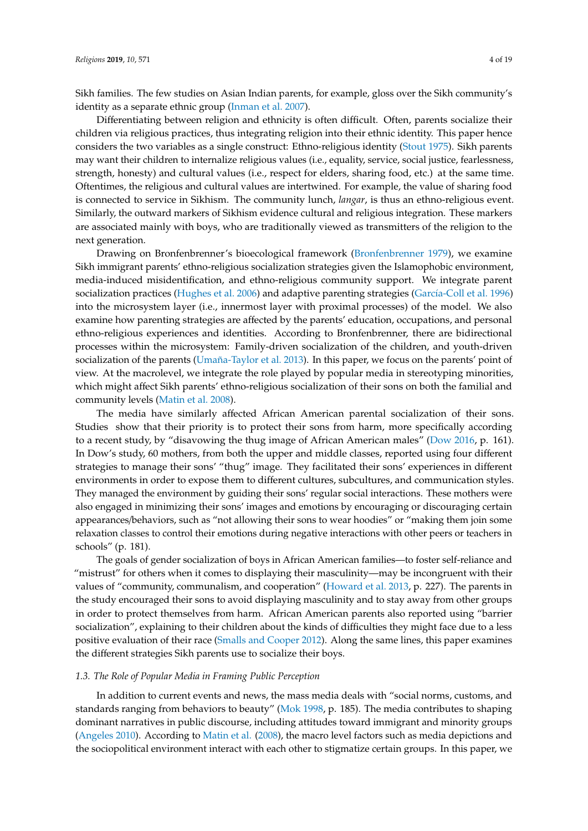Sikh families. The few studies on Asian Indian parents, for example, gloss over the Sikh community's identity as a separate ethnic group [\(Inman et al.](#page-16-11) [2007\)](#page-16-11).

Differentiating between religion and ethnicity is often difficult. Often, parents socialize their children via religious practices, thus integrating religion into their ethnic identity. This paper hence considers the two variables as a single construct: Ethno-religious identity [\(Stout](#page-17-11) [1975\)](#page-17-11). Sikh parents may want their children to internalize religious values (i.e., equality, service, social justice, fearlessness, strength, honesty) and cultural values (i.e., respect for elders, sharing food, etc.) at the same time. Oftentimes, the religious and cultural values are intertwined. For example, the value of sharing food is connected to service in Sikhism. The community lunch, *langar*, is thus an ethno-religious event. Similarly, the outward markers of Sikhism evidence cultural and religious integration. These markers are associated mainly with boys, who are traditionally viewed as transmitters of the religion to the next generation.

Drawing on Bronfenbrenner's bioecological framework [\(Bronfenbrenner](#page-15-6) [1979\)](#page-15-6), we examine Sikh immigrant parents' ethno-religious socialization strategies given the Islamophobic environment, media-induced misidentification, and ethno-religious community support. We integrate parent socialization practices [\(Hughes et al.](#page-16-8) [2006\)](#page-16-8) and adaptive parenting strategies (Garcí[a-Coll et al.](#page-16-7) [1996\)](#page-16-7) into the microsystem layer (i.e., innermost layer with proximal processes) of the model. We also examine how parenting strategies are affected by the parents' education, occupations, and personal ethno-religious experiences and identities. According to Bronfenbrenner, there are bidirectional processes within the microsystem: Family-driven socialization of the children, and youth-driven socialization of the parents [\(Umaña-Taylor et al.](#page-17-12) [2013\)](#page-17-12). In this paper, we focus on the parents' point of view. At the macrolevel, we integrate the role played by popular media in stereotyping minorities, which might affect Sikh parents' ethno-religious socialization of their sons on both the familial and community levels [\(Matin et al.](#page-17-13) [2008\)](#page-17-13).

The media have similarly affected African American parental socialization of their sons. Studies show that their priority is to protect their sons from harm, more specifically according to a recent study, by "disavowing the thug image of African American males" [\(Dow](#page-15-7) [2016,](#page-15-7) p. 161). In Dow's study, 60 mothers, from both the upper and middle classes, reported using four different strategies to manage their sons' "thug" image. They facilitated their sons' experiences in different environments in order to expose them to different cultures, subcultures, and communication styles. They managed the environment by guiding their sons' regular social interactions. These mothers were also engaged in minimizing their sons' images and emotions by encouraging or discouraging certain appearances/behaviors, such as "not allowing their sons to wear hoodies" or "making them join some relaxation classes to control their emotions during negative interactions with other peers or teachers in schools" (p. 181).

The goals of gender socialization of boys in African American families—to foster self-reliance and "mistrust" for others when it comes to displaying their masculinity—may be incongruent with their values of "community, communalism, and cooperation" [\(Howard et al.](#page-16-12) [2013,](#page-16-12) p. 227). The parents in the study encouraged their sons to avoid displaying masculinity and to stay away from other groups in order to protect themselves from harm. African American parents also reported using "barrier socialization", explaining to their children about the kinds of difficulties they might face due to a less positive evaluation of their race [\(Smalls and Cooper](#page-17-14) [2012\)](#page-17-14). Along the same lines, this paper examines the different strategies Sikh parents use to socialize their boys.

## *1.3. The Role of Popular Media in Framing Public Perception*

In addition to current events and news, the mass media deals with "social norms, customs, and standards ranging from behaviors to beauty" [\(Mok](#page-17-15) [1998,](#page-17-15) p. 185). The media contributes to shaping dominant narratives in public discourse, including attitudes toward immigrant and minority groups [\(Angeles](#page-15-8) [2010\)](#page-15-8). According to [Matin et al.](#page-17-13) [\(2008\)](#page-17-13), the macro level factors such as media depictions and the sociopolitical environment interact with each other to stigmatize certain groups. In this paper, we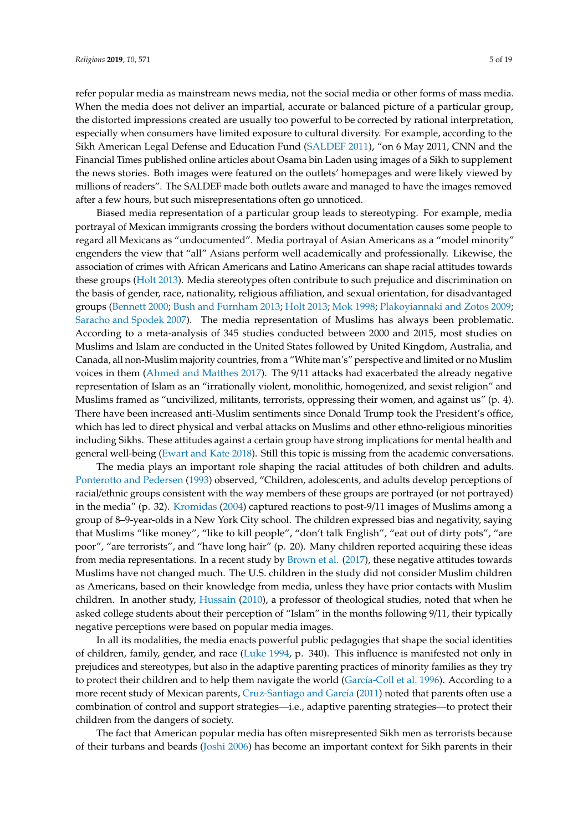refer popular media as mainstream news media, not the social media or other forms of mass media. When the media does not deliver an impartial, accurate or balanced picture of a particular group, the distorted impressions created are usually too powerful to be corrected by rational interpretation, especially when consumers have limited exposure to cultural diversity. For example, according to the Sikh American Legal Defense and Education Fund [\(SALDEF](#page-17-16) [2011\)](#page-17-16), "on 6 May 2011, CNN and the Financial Times published online articles about Osama bin Laden using images of a Sikh to supplement the news stories. Both images were featured on the outlets' homepages and were likely viewed by millions of readers". The SALDEF made both outlets aware and managed to have the images removed after a few hours, but such misrepresentations often go unnoticed.

Biased media representation of a particular group leads to stereotyping. For example, media portrayal of Mexican immigrants crossing the borders without documentation causes some people to regard all Mexicans as "undocumented". Media portrayal of Asian Americans as a "model minority" engenders the view that "all" Asians perform well academically and professionally. Likewise, the association of crimes with African Americans and Latino Americans can shape racial attitudes towards these groups [\(Holt](#page-16-13) [2013\)](#page-16-13). Media stereotypes often contribute to such prejudice and discrimination on the basis of gender, race, nationality, religious affiliation, and sexual orientation, for disadvantaged groups [\(Bennett](#page-15-9) [2000;](#page-15-9) [Bush and Furnham](#page-15-10) [2013;](#page-15-10) [Holt](#page-16-13) [2013;](#page-16-13) [Mok](#page-17-15) [1998;](#page-17-15) [Plakoyiannaki and Zotos](#page-17-17) [2009;](#page-17-17) [Saracho and Spodek](#page-17-18) [2007\)](#page-17-18). The media representation of Muslims has always been problematic. According to a meta-analysis of 345 studies conducted between 2000 and 2015, most studies on Muslims and Islam are conducted in the United States followed by United Kingdom, Australia, and Canada, all non-Muslim majority countries, from a "White man's" perspective and limited or no Muslim voices in them [\(Ahmed and Matthes](#page-15-11) [2017\)](#page-15-11). The 9/11 attacks had exacerbated the already negative representation of Islam as an "irrationally violent, monolithic, homogenized, and sexist religion" and Muslims framed as "uncivilized, militants, terrorists, oppressing their women, and against us" (p. 4). There have been increased anti-Muslim sentiments since Donald Trump took the President's office, which has led to direct physical and verbal attacks on Muslims and other ethno-religious minorities including Sikhs. These attitudes against a certain group have strong implications for mental health and general well-being [\(Ewart and Kate](#page-16-14) [2018\)](#page-16-14). Still this topic is missing from the academic conversations.

The media plays an important role shaping the racial attitudes of both children and adults. [Ponterotto and Pedersen](#page-17-19) [\(1993\)](#page-17-19) observed, "Children, adolescents, and adults develop perceptions of racial/ethnic groups consistent with the way members of these groups are portrayed (or not portrayed) in the media" (p. 32). [Kromidas](#page-16-2) [\(2004\)](#page-16-2) captured reactions to post-9/11 images of Muslims among a group of 8–9-year-olds in a New York City school. The children expressed bias and negativity, saying that Muslims "like money", "like to kill people", "don't talk English", "eat out of dirty pots", "are poor", "are terrorists", and "have long hair" (p. 20). Many children reported acquiring these ideas from media representations. In a recent study by [Brown et al.](#page-15-12) [\(2017\)](#page-15-12), these negative attitudes towards Muslims have not changed much. The U.S. children in the study did not consider Muslim children as Americans, based on their knowledge from media, unless they have prior contacts with Muslim children. In another study, [Hussain](#page-16-15) [\(2010\)](#page-16-15), a professor of theological studies, noted that when he asked college students about their perception of "Islam" in the months following 9/11, their typically negative perceptions were based on popular media images.

In all its modalities, the media enacts powerful public pedagogies that shape the social identities of children, family, gender, and race [\(Luke](#page-17-20) [1994,](#page-17-20) p. 340). This influence is manifested not only in prejudices and stereotypes, but also in the adaptive parenting practices of minority families as they try to protect their children and to help them navigate the world (Garcí[a-Coll et al.](#page-16-7) [1996\)](#page-16-7). According to a more recent study of Mexican parents, [Cruz-Santiago and Garc](#page-15-13)ía [\(2011\)](#page-15-13) noted that parents often use a combination of control and support strategies—i.e., adaptive parenting strategies—to protect their children from the dangers of society.

The fact that American popular media has often misrepresented Sikh men as terrorists because of their turbans and beards [\(Joshi](#page-16-16) [2006\)](#page-16-16) has become an important context for Sikh parents in their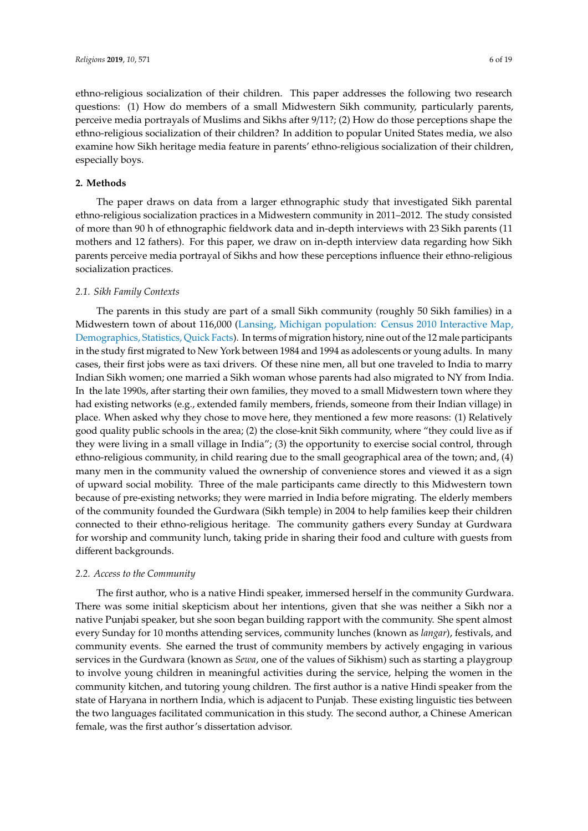ethno-religious socialization of their children. This paper addresses the following two research questions: (1) How do members of a small Midwestern Sikh community, particularly parents, perceive media portrayals of Muslims and Sikhs after 9/11?; (2) How do those perceptions shape the ethno-religious socialization of their children? In addition to popular United States media, we also examine how Sikh heritage media feature in parents' ethno-religious socialization of their children, especially boys.

## **2. Methods**

The paper draws on data from a larger ethnographic study that investigated Sikh parental ethno-religious socialization practices in a Midwestern community in 2011–2012. The study consisted of more than 90 h of ethnographic fieldwork data and in-depth interviews with 23 Sikh parents (11 mothers and 12 fathers). For this paper, we draw on in-depth interview data regarding how Sikh parents perceive media portrayal of Sikhs and how these perceptions influence their ethno-religious socialization practices.

#### *2.1. Sikh Family Contexts*

The parents in this study are part of a small Sikh community (roughly 50 Sikh families) in a Midwestern town of about 116,000 [\(Lansing, Michigan population: Census 2010 Interactive Map,](#page-15-14) [Demographics, Statistics, Quick Facts\)](#page-15-14). In terms of migration history, nine out of the 12 male participants in the study first migrated to New York between 1984 and 1994 as adolescents or young adults. In many cases, their first jobs were as taxi drivers. Of these nine men, all but one traveled to India to marry Indian Sikh women; one married a Sikh woman whose parents had also migrated to NY from India. In the late 1990s, after starting their own families, they moved to a small Midwestern town where they had existing networks (e.g., extended family members, friends, someone from their Indian village) in place. When asked why they chose to move here, they mentioned a few more reasons: (1) Relatively good quality public schools in the area; (2) the close-knit Sikh community, where "they could live as if they were living in a small village in India"; (3) the opportunity to exercise social control, through ethno-religious community, in child rearing due to the small geographical area of the town; and, (4) many men in the community valued the ownership of convenience stores and viewed it as a sign of upward social mobility. Three of the male participants came directly to this Midwestern town because of pre-existing networks; they were married in India before migrating. The elderly members of the community founded the Gurdwara (Sikh temple) in 2004 to help families keep their children connected to their ethno-religious heritage. The community gathers every Sunday at Gurdwara for worship and community lunch, taking pride in sharing their food and culture with guests from different backgrounds.

#### *2.2. Access to the Community*

The first author, who is a native Hindi speaker, immersed herself in the community Gurdwara. There was some initial skepticism about her intentions, given that she was neither a Sikh nor a native Punjabi speaker, but she soon began building rapport with the community. She spent almost every Sunday for 10 months attending services, community lunches (known as *langar*), festivals, and community events. She earned the trust of community members by actively engaging in various services in the Gurdwara (known as *Sewa*, one of the values of Sikhism) such as starting a playgroup to involve young children in meaningful activities during the service, helping the women in the community kitchen, and tutoring young children. The first author is a native Hindi speaker from the state of Haryana in northern India, which is adjacent to Punjab. These existing linguistic ties between the two languages facilitated communication in this study. The second author, a Chinese American female, was the first author's dissertation advisor.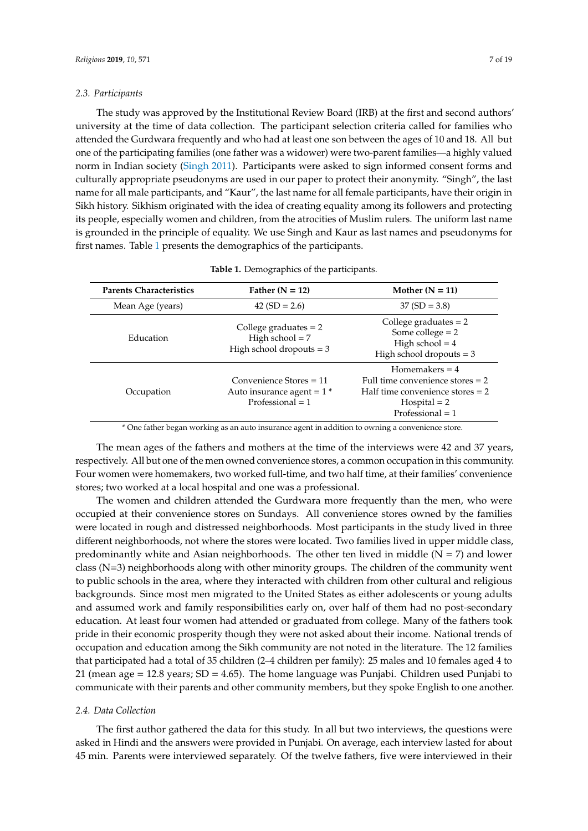#### *2.3. Participants*

The study was approved by the Institutional Review Board (IRB) at the first and second authors' university at the time of data collection. The participant selection criteria called for families who attended the Gurdwara frequently and who had at least one son between the ages of 10 and 18. All but one of the participating families (one father was a widower) were two-parent families—a highly valued norm in Indian society [\(Singh](#page-17-21) [2011\)](#page-17-21). Participants were asked to sign informed consent forms and culturally appropriate pseudonyms are used in our paper to protect their anonymity. "Singh", the last name for all male participants, and "Kaur", the last name for all female participants, have their origin in Sikh history. Sikhism originated with the idea of creating equality among its followers and protecting its people, especially women and children, from the atrocities of Muslim rulers. The uniform last name is grounded in the principle of equality. We use Singh and Kaur as last names and pseudonyms for first names. Table [1](#page-6-0) presents the demographics of the participants.

<span id="page-6-0"></span>

| <b>Parents Characteristics</b> | Father $(N = 12)$                                                                          | Mother $(N = 11)$                                                                                                                    |
|--------------------------------|--------------------------------------------------------------------------------------------|--------------------------------------------------------------------------------------------------------------------------------------|
| Mean Age (years)               | $42(SD = 2.6)$                                                                             | $37(SD = 3.8)$                                                                                                                       |
| Education                      | College graduates $= 2$<br>High school $= 7$<br>High school dropouts $=$ 3                 | College graduates $= 2$<br>Some college $= 2$<br>High school $=$ 4<br>High school dropouts $=$ 3                                     |
| Occupation                     | Convenience Stores $= 11$<br>Auto insurance agent = $1$ <sup>*</sup><br>Professional $= 1$ | Homemakers $=$ 4<br>Full time convenience stores $= 2$<br>Half time convenience stores $= 2$<br>$Hospital = 2$<br>Professional $= 1$ |

\* One father began working as an auto insurance agent in addition to owning a convenience store.

The mean ages of the fathers and mothers at the time of the interviews were 42 and 37 years, respectively. All but one of the men owned convenience stores, a common occupation in this community. Four women were homemakers, two worked full-time, and two half time, at their families' convenience stores; two worked at a local hospital and one was a professional.

The women and children attended the Gurdwara more frequently than the men, who were occupied at their convenience stores on Sundays. All convenience stores owned by the families were located in rough and distressed neighborhoods. Most participants in the study lived in three different neighborhoods, not where the stores were located. Two families lived in upper middle class, predominantly white and Asian neighborhoods. The other ten lived in middle  $(N = 7)$  and lower class (N=3) neighborhoods along with other minority groups. The children of the community went to public schools in the area, where they interacted with children from other cultural and religious backgrounds. Since most men migrated to the United States as either adolescents or young adults and assumed work and family responsibilities early on, over half of them had no post-secondary education. At least four women had attended or graduated from college. Many of the fathers took pride in their economic prosperity though they were not asked about their income. National trends of occupation and education among the Sikh community are not noted in the literature. The 12 families that participated had a total of 35 children (2–4 children per family): 25 males and 10 females aged 4 to 21 (mean age  $= 12.8$  years; SD  $= 4.65$ ). The home language was Punjabi. Children used Punjabi to communicate with their parents and other community members, but they spoke English to one another.

## *2.4. Data Collection*

The first author gathered the data for this study. In all but two interviews, the questions were asked in Hindi and the answers were provided in Punjabi. On average, each interview lasted for about 45 min. Parents were interviewed separately. Of the twelve fathers, five were interviewed in their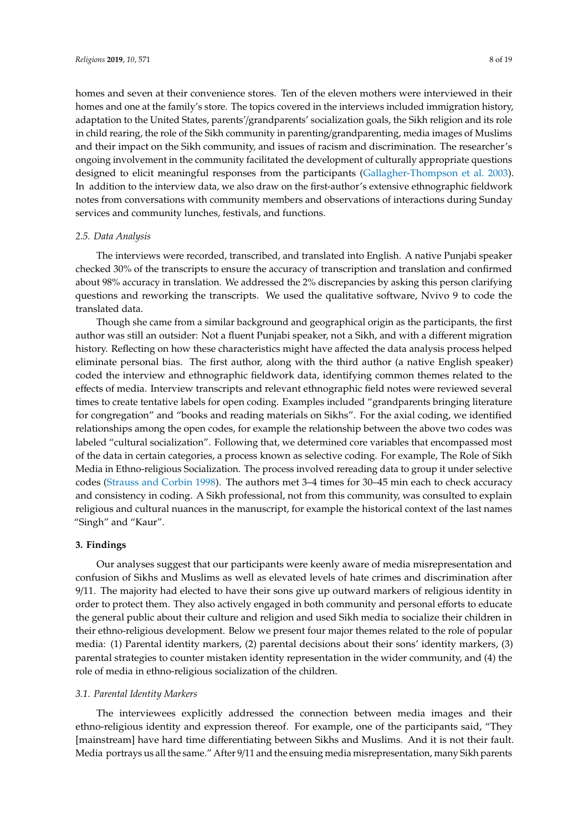homes and seven at their convenience stores. Ten of the eleven mothers were interviewed in their homes and one at the family's store. The topics covered in the interviews included immigration history, adaptation to the United States, parents'/grandparents' socialization goals, the Sikh religion and its role in child rearing, the role of the Sikh community in parenting/grandparenting, media images of Muslims and their impact on the Sikh community, and issues of racism and discrimination. The researcher's ongoing involvement in the community facilitated the development of culturally appropriate questions designed to elicit meaningful responses from the participants [\(Gallagher-Thompson et al.](#page-16-17) [2003\)](#page-16-17). In addition to the interview data, we also draw on the first-author's extensive ethnographic fieldwork notes from conversations with community members and observations of interactions during Sunday services and community lunches, festivals, and functions.

## *2.5. Data Analysis*

The interviews were recorded, transcribed, and translated into English. A native Punjabi speaker checked 30% of the transcripts to ensure the accuracy of transcription and translation and confirmed about 98% accuracy in translation. We addressed the 2% discrepancies by asking this person clarifying questions and reworking the transcripts. We used the qualitative software, Nvivo 9 to code the translated data.

Though she came from a similar background and geographical origin as the participants, the first author was still an outsider: Not a fluent Punjabi speaker, not a Sikh, and with a different migration history. Reflecting on how these characteristics might have affected the data analysis process helped eliminate personal bias. The first author, along with the third author (a native English speaker) coded the interview and ethnographic fieldwork data, identifying common themes related to the effects of media. Interview transcripts and relevant ethnographic field notes were reviewed several times to create tentative labels for open coding. Examples included "grandparents bringing literature for congregation" and "books and reading materials on Sikhs". For the axial coding, we identified relationships among the open codes, for example the relationship between the above two codes was labeled "cultural socialization". Following that, we determined core variables that encompassed most of the data in certain categories, a process known as selective coding. For example, The Role of Sikh Media in Ethno-religious Socialization. The process involved rereading data to group it under selective codes [\(Strauss and Corbin](#page-17-22) [1998\)](#page-17-22). The authors met 3–4 times for 30–45 min each to check accuracy and consistency in coding. A Sikh professional, not from this community, was consulted to explain religious and cultural nuances in the manuscript, for example the historical context of the last names "Singh" and "Kaur".

## **3. Findings**

Our analyses suggest that our participants were keenly aware of media misrepresentation and confusion of Sikhs and Muslims as well as elevated levels of hate crimes and discrimination after 9/11. The majority had elected to have their sons give up outward markers of religious identity in order to protect them. They also actively engaged in both community and personal efforts to educate the general public about their culture and religion and used Sikh media to socialize their children in their ethno-religious development. Below we present four major themes related to the role of popular media: (1) Parental identity markers, (2) parental decisions about their sons' identity markers, (3) parental strategies to counter mistaken identity representation in the wider community, and (4) the role of media in ethno-religious socialization of the children.

## *3.1. Parental Identity Markers*

The interviewees explicitly addressed the connection between media images and their ethno-religious identity and expression thereof. For example, one of the participants said, "They [mainstream] have hard time differentiating between Sikhs and Muslims. And it is not their fault. Media portrays us all the same." After 9/11 and the ensuing media misrepresentation, many Sikh parents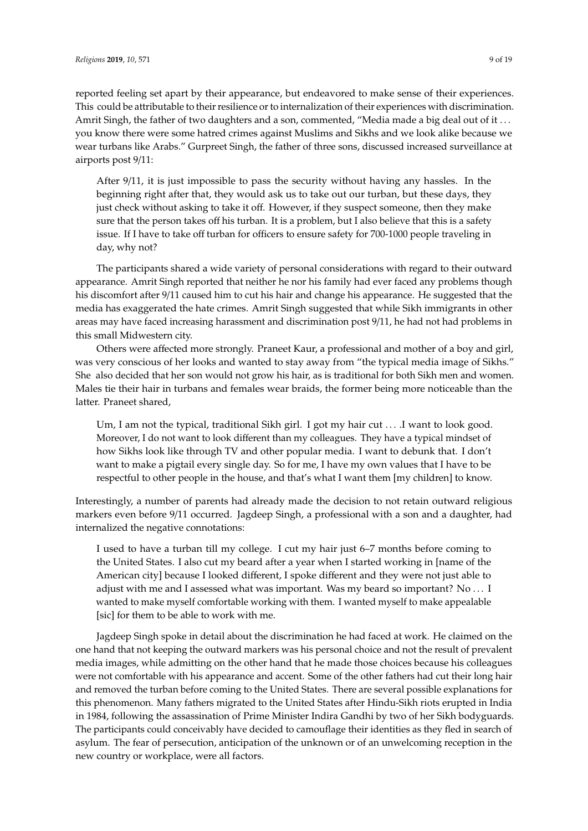reported feeling set apart by their appearance, but endeavored to make sense of their experiences. This could be attributable to their resilience or to internalization of their experiences with discrimination. Amrit Singh, the father of two daughters and a son, commented, "Media made a big deal out of it ... you know there were some hatred crimes against Muslims and Sikhs and we look alike because we wear turbans like Arabs." Gurpreet Singh, the father of three sons, discussed increased surveillance at airports post 9/11:

After 9/11, it is just impossible to pass the security without having any hassles. In the beginning right after that, they would ask us to take out our turban, but these days, they just check without asking to take it off. However, if they suspect someone, then they make sure that the person takes off his turban. It is a problem, but I also believe that this is a safety issue. If I have to take off turban for officers to ensure safety for 700-1000 people traveling in day, why not?

The participants shared a wide variety of personal considerations with regard to their outward appearance. Amrit Singh reported that neither he nor his family had ever faced any problems though his discomfort after 9/11 caused him to cut his hair and change his appearance. He suggested that the media has exaggerated the hate crimes. Amrit Singh suggested that while Sikh immigrants in other areas may have faced increasing harassment and discrimination post 9/11, he had not had problems in this small Midwestern city.

Others were affected more strongly. Praneet Kaur, a professional and mother of a boy and girl, was very conscious of her looks and wanted to stay away from "the typical media image of Sikhs." She also decided that her son would not grow his hair, as is traditional for both Sikh men and women. Males tie their hair in turbans and females wear braids, the former being more noticeable than the latter. Praneet shared,

Um, I am not the typical, traditional Sikh girl. I got my hair cut ... .I want to look good. Moreover, I do not want to look different than my colleagues. They have a typical mindset of how Sikhs look like through TV and other popular media. I want to debunk that. I don't want to make a pigtail every single day. So for me, I have my own values that I have to be respectful to other people in the house, and that's what I want them [my children] to know.

Interestingly, a number of parents had already made the decision to not retain outward religious markers even before 9/11 occurred. Jagdeep Singh, a professional with a son and a daughter, had internalized the negative connotations:

I used to have a turban till my college. I cut my hair just 6–7 months before coming to the United States. I also cut my beard after a year when I started working in [name of the American city] because I looked different, I spoke different and they were not just able to adjust with me and I assessed what was important. Was my beard so important? No . . . I wanted to make myself comfortable working with them. I wanted myself to make appealable [sic] for them to be able to work with me.

Jagdeep Singh spoke in detail about the discrimination he had faced at work. He claimed on the one hand that not keeping the outward markers was his personal choice and not the result of prevalent media images, while admitting on the other hand that he made those choices because his colleagues were not comfortable with his appearance and accent. Some of the other fathers had cut their long hair and removed the turban before coming to the United States. There are several possible explanations for this phenomenon. Many fathers migrated to the United States after Hindu-Sikh riots erupted in India in 1984, following the assassination of Prime Minister Indira Gandhi by two of her Sikh bodyguards. The participants could conceivably have decided to camouflage their identities as they fled in search of asylum. The fear of persecution, anticipation of the unknown or of an unwelcoming reception in the new country or workplace, were all factors.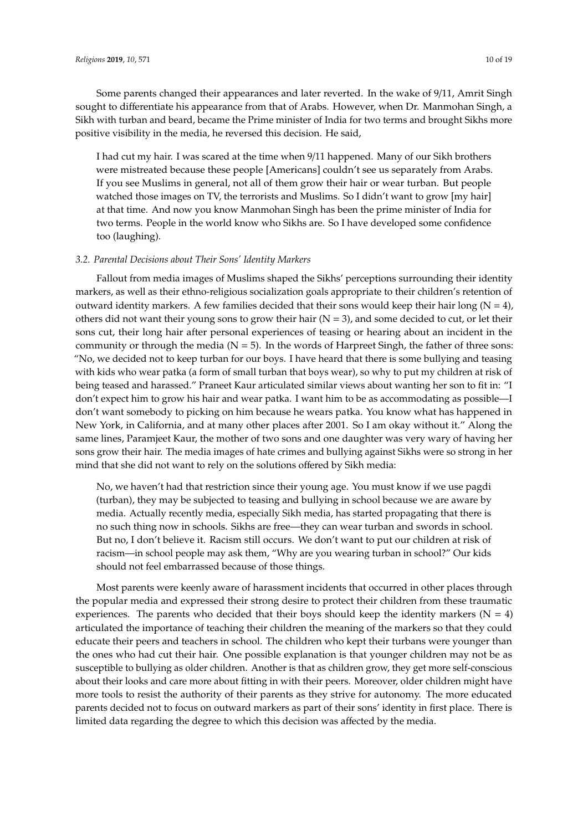Some parents changed their appearances and later reverted. In the wake of 9/11, Amrit Singh sought to differentiate his appearance from that of Arabs. However, when Dr. Manmohan Singh, a Sikh with turban and beard, became the Prime minister of India for two terms and brought Sikhs more positive visibility in the media, he reversed this decision. He said,

I had cut my hair. I was scared at the time when 9/11 happened. Many of our Sikh brothers were mistreated because these people [Americans] couldn't see us separately from Arabs. If you see Muslims in general, not all of them grow their hair or wear turban. But people watched those images on TV, the terrorists and Muslims. So I didn't want to grow [my hair] at that time. And now you know Manmohan Singh has been the prime minister of India for two terms. People in the world know who Sikhs are. So I have developed some confidence too (laughing).

#### *3.2. Parental Decisions about Their Sons' Identity Markers*

Fallout from media images of Muslims shaped the Sikhs' perceptions surrounding their identity markers, as well as their ethno-religious socialization goals appropriate to their children's retention of outward identity markers. A few families decided that their sons would keep their hair long ( $N = 4$ ), others did not want their young sons to grow their hair  $(N = 3)$ , and some decided to cut, or let their sons cut, their long hair after personal experiences of teasing or hearing about an incident in the community or through the media ( $N = 5$ ). In the words of Harpreet Singh, the father of three sons: "No, we decided not to keep turban for our boys. I have heard that there is some bullying and teasing with kids who wear patka (a form of small turban that boys wear), so why to put my children at risk of being teased and harassed." Praneet Kaur articulated similar views about wanting her son to fit in: "I don't expect him to grow his hair and wear patka. I want him to be as accommodating as possible—I don't want somebody to picking on him because he wears patka. You know what has happened in New York, in California, and at many other places after 2001. So I am okay without it." Along the same lines, Paramjeet Kaur, the mother of two sons and one daughter was very wary of having her sons grow their hair. The media images of hate crimes and bullying against Sikhs were so strong in her mind that she did not want to rely on the solutions offered by Sikh media:

No, we haven't had that restriction since their young age. You must know if we use pagdi (turban), they may be subjected to teasing and bullying in school because we are aware by media. Actually recently media, especially Sikh media, has started propagating that there is no such thing now in schools. Sikhs are free—they can wear turban and swords in school. But no, I don't believe it. Racism still occurs. We don't want to put our children at risk of racism—in school people may ask them, "Why are you wearing turban in school?" Our kids should not feel embarrassed because of those things.

Most parents were keenly aware of harassment incidents that occurred in other places through the popular media and expressed their strong desire to protect their children from these traumatic experiences. The parents who decided that their boys should keep the identity markers ( $N = 4$ ) articulated the importance of teaching their children the meaning of the markers so that they could educate their peers and teachers in school. The children who kept their turbans were younger than the ones who had cut their hair. One possible explanation is that younger children may not be as susceptible to bullying as older children. Another is that as children grow, they get more self-conscious about their looks and care more about fitting in with their peers. Moreover, older children might have more tools to resist the authority of their parents as they strive for autonomy. The more educated parents decided not to focus on outward markers as part of their sons' identity in first place. There is limited data regarding the degree to which this decision was affected by the media.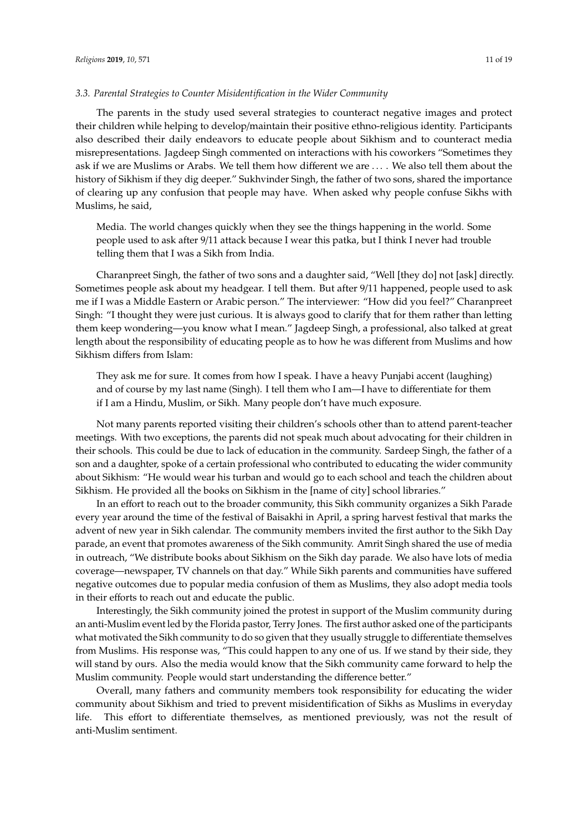## *3.3. Parental Strategies to Counter Misidentification in the Wider Community*

The parents in the study used several strategies to counteract negative images and protect their children while helping to develop/maintain their positive ethno-religious identity. Participants also described their daily endeavors to educate people about Sikhism and to counteract media misrepresentations. Jagdeep Singh commented on interactions with his coworkers "Sometimes they ask if we are Muslims or Arabs. We tell them how different we are . . . . We also tell them about the history of Sikhism if they dig deeper." Sukhvinder Singh, the father of two sons, shared the importance of clearing up any confusion that people may have. When asked why people confuse Sikhs with Muslims, he said,

Media. The world changes quickly when they see the things happening in the world. Some people used to ask after 9/11 attack because I wear this patka, but I think I never had trouble telling them that I was a Sikh from India.

Charanpreet Singh, the father of two sons and a daughter said, "Well [they do] not [ask] directly. Sometimes people ask about my headgear. I tell them. But after 9/11 happened, people used to ask me if I was a Middle Eastern or Arabic person." The interviewer: "How did you feel?" Charanpreet Singh: "I thought they were just curious. It is always good to clarify that for them rather than letting them keep wondering—you know what I mean." Jagdeep Singh, a professional, also talked at great length about the responsibility of educating people as to how he was different from Muslims and how Sikhism differs from Islam:

They ask me for sure. It comes from how I speak. I have a heavy Punjabi accent (laughing) and of course by my last name (Singh). I tell them who I am—I have to differentiate for them if I am a Hindu, Muslim, or Sikh. Many people don't have much exposure.

Not many parents reported visiting their children's schools other than to attend parent-teacher meetings. With two exceptions, the parents did not speak much about advocating for their children in their schools. This could be due to lack of education in the community. Sardeep Singh, the father of a son and a daughter, spoke of a certain professional who contributed to educating the wider community about Sikhism: "He would wear his turban and would go to each school and teach the children about Sikhism. He provided all the books on Sikhism in the [name of city] school libraries."

In an effort to reach out to the broader community, this Sikh community organizes a Sikh Parade every year around the time of the festival of Baisakhi in April, a spring harvest festival that marks the advent of new year in Sikh calendar. The community members invited the first author to the Sikh Day parade, an event that promotes awareness of the Sikh community. Amrit Singh shared the use of media in outreach, "We distribute books about Sikhism on the Sikh day parade. We also have lots of media coverage—newspaper, TV channels on that day." While Sikh parents and communities have suffered negative outcomes due to popular media confusion of them as Muslims, they also adopt media tools in their efforts to reach out and educate the public.

Interestingly, the Sikh community joined the protest in support of the Muslim community during an anti-Muslim event led by the Florida pastor, Terry Jones. The first author asked one of the participants what motivated the Sikh community to do so given that they usually struggle to differentiate themselves from Muslims. His response was, "This could happen to any one of us. If we stand by their side, they will stand by ours. Also the media would know that the Sikh community came forward to help the Muslim community. People would start understanding the difference better."

Overall, many fathers and community members took responsibility for educating the wider community about Sikhism and tried to prevent misidentification of Sikhs as Muslims in everyday life. This effort to differentiate themselves, as mentioned previously, was not the result of anti-Muslim sentiment.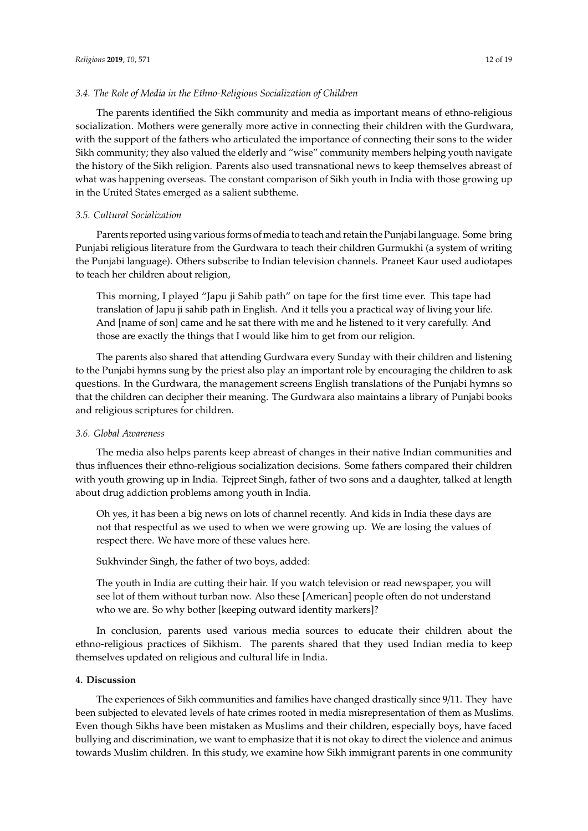#### *3.4. The Role of Media in the Ethno-Religious Socialization of Children*

The parents identified the Sikh community and media as important means of ethno-religious socialization. Mothers were generally more active in connecting their children with the Gurdwara, with the support of the fathers who articulated the importance of connecting their sons to the wider Sikh community; they also valued the elderly and "wise" community members helping youth navigate the history of the Sikh religion. Parents also used transnational news to keep themselves abreast of what was happening overseas. The constant comparison of Sikh youth in India with those growing up in the United States emerged as a salient subtheme.

## *3.5. Cultural Socialization*

Parents reported using various forms of media to teach and retain the Punjabi language. Some bring Punjabi religious literature from the Gurdwara to teach their children Gurmukhi (a system of writing the Punjabi language). Others subscribe to Indian television channels. Praneet Kaur used audiotapes to teach her children about religion,

This morning, I played "Japu ji Sahib path" on tape for the first time ever. This tape had translation of Japu ji sahib path in English. And it tells you a practical way of living your life. And [name of son] came and he sat there with me and he listened to it very carefully. And those are exactly the things that I would like him to get from our religion.

The parents also shared that attending Gurdwara every Sunday with their children and listening to the Punjabi hymns sung by the priest also play an important role by encouraging the children to ask questions. In the Gurdwara, the management screens English translations of the Punjabi hymns so that the children can decipher their meaning. The Gurdwara also maintains a library of Punjabi books and religious scriptures for children.

#### *3.6. Global Awareness*

The media also helps parents keep abreast of changes in their native Indian communities and thus influences their ethno-religious socialization decisions. Some fathers compared their children with youth growing up in India. Tejpreet Singh, father of two sons and a daughter, talked at length about drug addiction problems among youth in India.

Oh yes, it has been a big news on lots of channel recently. And kids in India these days are not that respectful as we used to when we were growing up. We are losing the values of respect there. We have more of these values here.

Sukhvinder Singh, the father of two boys, added:

The youth in India are cutting their hair. If you watch television or read newspaper, you will see lot of them without turban now. Also these [American] people often do not understand who we are. So why bother [keeping outward identity markers]?

In conclusion, parents used various media sources to educate their children about the ethno-religious practices of Sikhism. The parents shared that they used Indian media to keep themselves updated on religious and cultural life in India.

#### **4. Discussion**

The experiences of Sikh communities and families have changed drastically since 9/11. They have been subjected to elevated levels of hate crimes rooted in media misrepresentation of them as Muslims. Even though Sikhs have been mistaken as Muslims and their children, especially boys, have faced bullying and discrimination, we want to emphasize that it is not okay to direct the violence and animus towards Muslim children. In this study, we examine how Sikh immigrant parents in one community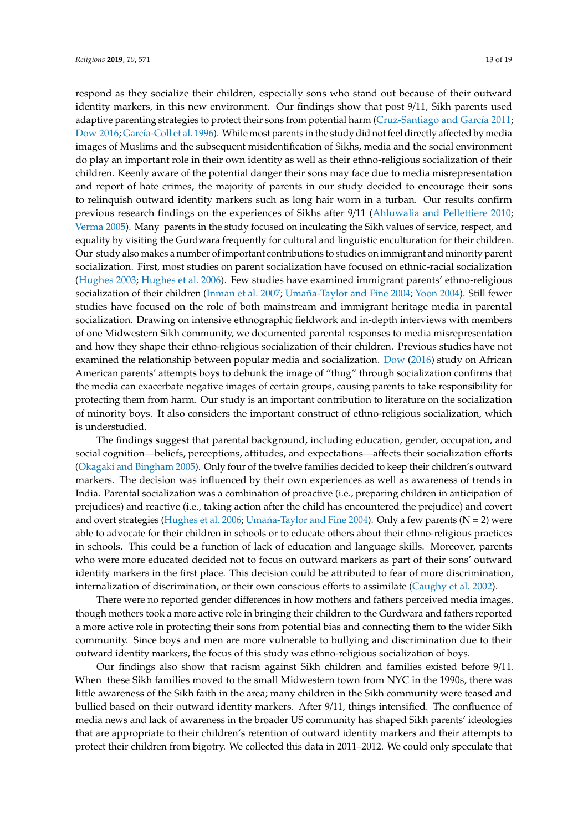respond as they socialize their children, especially sons who stand out because of their outward identity markers, in this new environment. Our findings show that post 9/11, Sikh parents used adaptive parenting strategies to protect their sons from potential harm [\(Cruz-Santiago and Garc](#page-15-13)ía [2011;](#page-15-13) [Dow](#page-15-7) [2016;](#page-15-7) Garcí[a-Coll et al.](#page-16-7) [1996\)](#page-16-7). While most parents in the study did not feel directly affected by media images of Muslims and the subsequent misidentification of Sikhs, media and the social environment do play an important role in their own identity as well as their ethno-religious socialization of their children. Keenly aware of the potential danger their sons may face due to media misrepresentation and report of hate crimes, the majority of parents in our study decided to encourage their sons to relinquish outward identity markers such as long hair worn in a turban. Our results confirm previous research findings on the experiences of Sikhs after 9/11 [\(Ahluwalia and Pellettiere](#page-15-2) [2010;](#page-15-2) [Verma](#page-17-7) [2005\)](#page-17-7). Many parents in the study focused on inculcating the Sikh values of service, respect, and equality by visiting the Gurdwara frequently for cultural and linguistic enculturation for their children. Our study also makes a number of important contributions to studies on immigrant and minority parent socialization. First, most studies on parent socialization have focused on ethnic-racial socialization [\(Hughes](#page-16-10) [2003;](#page-16-10) [Hughes et al.](#page-16-8) [2006\)](#page-16-8). Few studies have examined immigrant parents' ethno-religious socialization of their children [\(Inman et al.](#page-16-11) [2007;](#page-16-11) [Umaña-Taylor and Fine](#page-17-8) [2004;](#page-17-8) [Yoon](#page-18-1) [2004\)](#page-18-1). Still fewer studies have focused on the role of both mainstream and immigrant heritage media in parental socialization. Drawing on intensive ethnographic fieldwork and in-depth interviews with members of one Midwestern Sikh community, we documented parental responses to media misrepresentation and how they shape their ethno-religious socialization of their children. Previous studies have not examined the relationship between popular media and socialization. [Dow](#page-15-7) [\(2016\)](#page-15-7) study on African American parents' attempts boys to debunk the image of "thug" through socialization confirms that the media can exacerbate negative images of certain groups, causing parents to take responsibility for protecting them from harm. Our study is an important contribution to literature on the socialization of minority boys. It also considers the important construct of ethno-religious socialization, which is understudied.

The findings suggest that parental background, including education, gender, occupation, and social cognition—beliefs, perceptions, attitudes, and expectations—affects their socialization efforts [\(Okagaki and Bingham](#page-17-9) [2005\)](#page-17-9). Only four of the twelve families decided to keep their children's outward markers. The decision was influenced by their own experiences as well as awareness of trends in India. Parental socialization was a combination of proactive (i.e., preparing children in anticipation of prejudices) and reactive (i.e., taking action after the child has encountered the prejudice) and covert and overt strategies [\(Hughes et al.](#page-16-8) [2006;](#page-16-8) [Umaña-Taylor and Fine](#page-17-8) [2004\)](#page-17-8). Only a few parents (N = 2) were able to advocate for their children in schools or to educate others about their ethno-religious practices in schools. This could be a function of lack of education and language skills. Moreover, parents who were more educated decided not to focus on outward markers as part of their sons' outward identity markers in the first place. This decision could be attributed to fear of more discrimination, internalization of discrimination, or their own conscious efforts to assimilate [\(Caughy et al.](#page-15-4) [2002\)](#page-15-4).

There were no reported gender differences in how mothers and fathers perceived media images, though mothers took a more active role in bringing their children to the Gurdwara and fathers reported a more active role in protecting their sons from potential bias and connecting them to the wider Sikh community. Since boys and men are more vulnerable to bullying and discrimination due to their outward identity markers, the focus of this study was ethno-religious socialization of boys.

Our findings also show that racism against Sikh children and families existed before 9/11. When these Sikh families moved to the small Midwestern town from NYC in the 1990s, there was little awareness of the Sikh faith in the area; many children in the Sikh community were teased and bullied based on their outward identity markers. After 9/11, things intensified. The confluence of media news and lack of awareness in the broader US community has shaped Sikh parents' ideologies that are appropriate to their children's retention of outward identity markers and their attempts to protect their children from bigotry. We collected this data in 2011–2012. We could only speculate that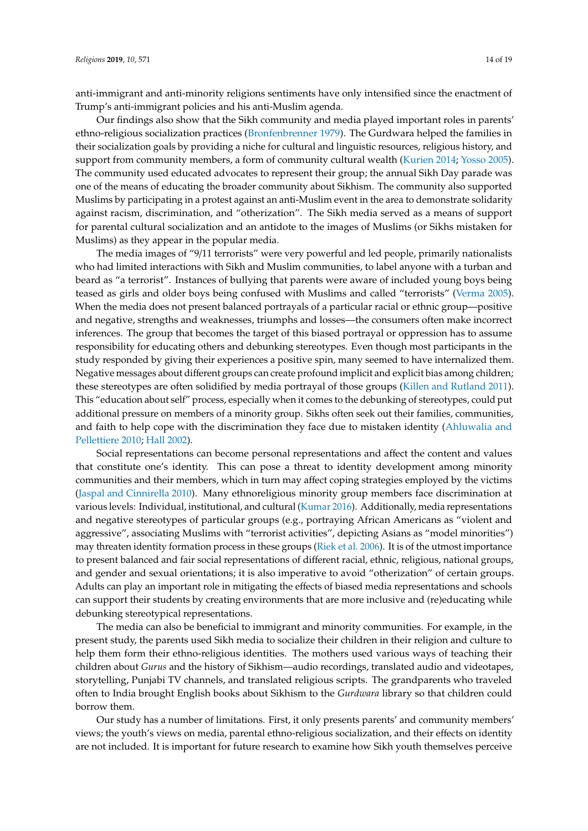anti-immigrant and anti-minority religions sentiments have only intensified since the enactment of Trump's anti-immigrant policies and his anti-Muslim agenda.

Our findings also show that the Sikh community and media played important roles in parents' ethno-religious socialization practices [\(Bronfenbrenner](#page-15-6) [1979\)](#page-15-6). The Gurdwara helped the families in their socialization goals by providing a niche for cultural and linguistic resources, religious history, and support from community members, a form of community cultural wealth [\(Kurien](#page-16-5) [2014;](#page-16-5) [Yosso](#page-18-0) [2005\)](#page-18-0). The community used educated advocates to represent their group; the annual Sikh Day parade was one of the means of educating the broader community about Sikhism. The community also supported Muslims by participating in a protest against an anti-Muslim event in the area to demonstrate solidarity against racism, discrimination, and "otherization". The Sikh media served as a means of support for parental cultural socialization and an antidote to the images of Muslims (or Sikhs mistaken for Muslims) as they appear in the popular media.

The media images of "9/11 terrorists" were very powerful and led people, primarily nationalists who had limited interactions with Sikh and Muslim communities, to label anyone with a turban and beard as "a terrorist". Instances of bullying that parents were aware of included young boys being teased as girls and older boys being confused with Muslims and called "terrorists" [\(Verma](#page-17-7) [2005\)](#page-17-7). When the media does not present balanced portrayals of a particular racial or ethnic group—positive and negative, strengths and weaknesses, triumphs and losses—the consumers often make incorrect inferences. The group that becomes the target of this biased portrayal or oppression has to assume responsibility for educating others and debunking stereotypes. Even though most participants in the study responded by giving their experiences a positive spin, many seemed to have internalized them. Negative messages about different groups can create profound implicit and explicit bias among children; these stereotypes are often solidified by media portrayal of those groups [\(Killen and Rutland](#page-16-18) [2011\)](#page-16-18). This "education about self" process, especially when it comes to the debunking of stereotypes, could put additional pressure on members of a minority group. Sikhs often seek out their families, communities, and faith to help cope with the discrimination they face due to mistaken identity [\(Ahluwalia and](#page-15-2) [Pellettiere](#page-15-2) [2010;](#page-15-2) [Hall](#page-16-19) [2002\)](#page-16-19).

Social representations can become personal representations and affect the content and values that constitute one's identity. This can pose a threat to identity development among minority communities and their members, which in turn may affect coping strategies employed by the victims [\(Jaspal and Cinnirella](#page-16-20) [2010\)](#page-16-20). Many ethnoreligious minority group members face discrimination at various levels: Individual, institutional, and cultural [\(Kumar](#page-16-3) [2016\)](#page-16-3). Additionally, media representations and negative stereotypes of particular groups (e.g., portraying African Americans as "violent and aggressive", associating Muslims with "terrorist activities", depicting Asians as "model minorities") may threaten identity formation process in these groups [\(Riek et al.](#page-17-23) [2006\)](#page-17-23). It is of the utmost importance to present balanced and fair social representations of different racial, ethnic, religious, national groups, and gender and sexual orientations; it is also imperative to avoid "otherization" of certain groups. Adults can play an important role in mitigating the effects of biased media representations and schools can support their students by creating environments that are more inclusive and (re)educating while debunking stereotypical representations.

The media can also be beneficial to immigrant and minority communities. For example, in the present study, the parents used Sikh media to socialize their children in their religion and culture to help them form their ethno-religious identities. The mothers used various ways of teaching their children about *Gurus* and the history of Sikhism—audio recordings, translated audio and videotapes, storytelling, Punjabi TV channels, and translated religious scripts. The grandparents who traveled often to India brought English books about Sikhism to the *Gurdwara* library so that children could borrow them.

Our study has a number of limitations. First, it only presents parents' and community members' views; the youth's views on media, parental ethno-religious socialization, and their effects on identity are not included. It is important for future research to examine how Sikh youth themselves perceive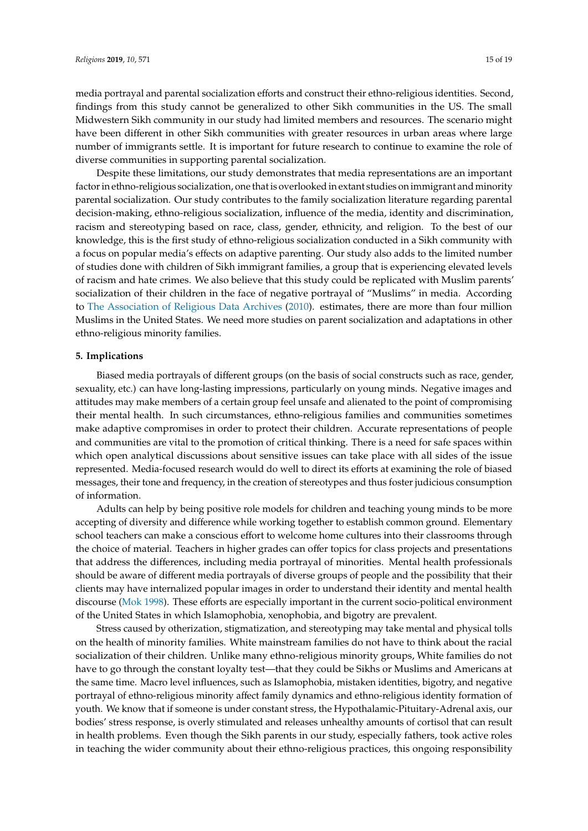media portrayal and parental socialization efforts and construct their ethno-religious identities. Second, findings from this study cannot be generalized to other Sikh communities in the US. The small Midwestern Sikh community in our study had limited members and resources. The scenario might have been different in other Sikh communities with greater resources in urban areas where large number of immigrants settle. It is important for future research to continue to examine the role of diverse communities in supporting parental socialization.

Despite these limitations, our study demonstrates that media representations are an important factor in ethno-religious socialization, one that is overlooked in extant studies on immigrant and minority parental socialization. Our study contributes to the family socialization literature regarding parental decision-making, ethno-religious socialization, influence of the media, identity and discrimination, racism and stereotyping based on race, class, gender, ethnicity, and religion. To the best of our knowledge, this is the first study of ethno-religious socialization conducted in a Sikh community with a focus on popular media's effects on adaptive parenting. Our study also adds to the limited number of studies done with children of Sikh immigrant families, a group that is experiencing elevated levels of racism and hate crimes. We also believe that this study could be replicated with Muslim parents' socialization of their children in the face of negative portrayal of "Muslims" in media. According to [The Association of Religious Data Archives](#page-17-4) [\(2010\)](#page-17-4). estimates, there are more than four million Muslims in the United States. We need more studies on parent socialization and adaptations in other ethno-religious minority families.

#### **5. Implications**

Biased media portrayals of different groups (on the basis of social constructs such as race, gender, sexuality, etc.) can have long-lasting impressions, particularly on young minds. Negative images and attitudes may make members of a certain group feel unsafe and alienated to the point of compromising their mental health. In such circumstances, ethno-religious families and communities sometimes make adaptive compromises in order to protect their children. Accurate representations of people and communities are vital to the promotion of critical thinking. There is a need for safe spaces within which open analytical discussions about sensitive issues can take place with all sides of the issue represented. Media-focused research would do well to direct its efforts at examining the role of biased messages, their tone and frequency, in the creation of stereotypes and thus foster judicious consumption of information.

Adults can help by being positive role models for children and teaching young minds to be more accepting of diversity and difference while working together to establish common ground. Elementary school teachers can make a conscious effort to welcome home cultures into their classrooms through the choice of material. Teachers in higher grades can offer topics for class projects and presentations that address the differences, including media portrayal of minorities. Mental health professionals should be aware of different media portrayals of diverse groups of people and the possibility that their clients may have internalized popular images in order to understand their identity and mental health discourse [\(Mok](#page-17-15) [1998\)](#page-17-15). These efforts are especially important in the current socio-political environment of the United States in which Islamophobia, xenophobia, and bigotry are prevalent.

Stress caused by otherization, stigmatization, and stereotyping may take mental and physical tolls on the health of minority families. White mainstream families do not have to think about the racial socialization of their children. Unlike many ethno-religious minority groups, White families do not have to go through the constant loyalty test—that they could be Sikhs or Muslims and Americans at the same time. Macro level influences, such as Islamophobia, mistaken identities, bigotry, and negative portrayal of ethno-religious minority affect family dynamics and ethno-religious identity formation of youth. We know that if someone is under constant stress, the Hypothalamic-Pituitary-Adrenal axis, our bodies' stress response, is overly stimulated and releases unhealthy amounts of cortisol that can result in health problems. Even though the Sikh parents in our study, especially fathers, took active roles in teaching the wider community about their ethno-religious practices, this ongoing responsibility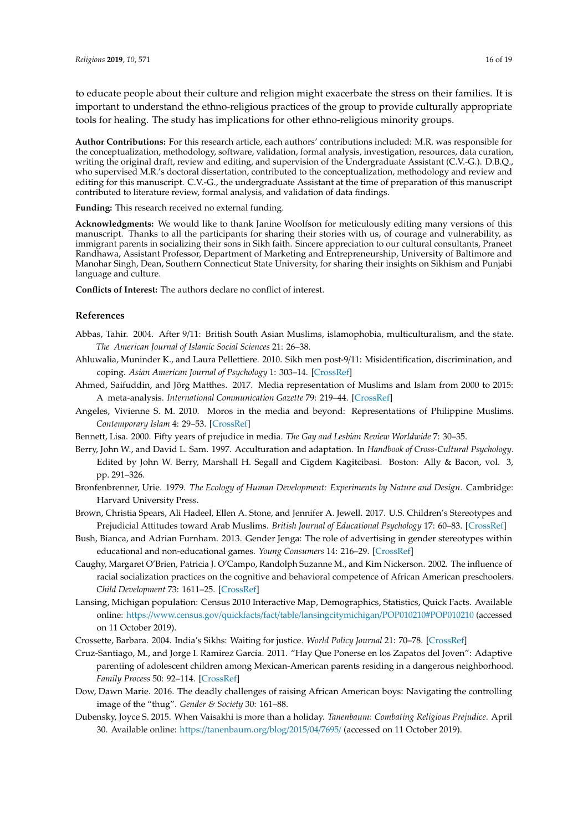to educate people about their culture and religion might exacerbate the stress on their families. It is important to understand the ethno-religious practices of the group to provide culturally appropriate tools for healing. The study has implications for other ethno-religious minority groups.

**Author Contributions:** For this research article, each authors' contributions included: M.R. was responsible for the conceptualization, methodology, software, validation, formal analysis, investigation, resources, data curation, writing the original draft, review and editing, and supervision of the Undergraduate Assistant (C.V.-G.). D.B.Q., who supervised M.R.'s doctoral dissertation, contributed to the conceptualization, methodology and review and editing for this manuscript. C.V.-G., the undergraduate Assistant at the time of preparation of this manuscript contributed to literature review, formal analysis, and validation of data findings.

**Funding:** This research received no external funding.

**Acknowledgments:** We would like to thank Janine Woolfson for meticulously editing many versions of this manuscript. Thanks to all the participants for sharing their stories with us, of courage and vulnerability, as immigrant parents in socializing their sons in Sikh faith. Sincere appreciation to our cultural consultants, Praneet Randhawa, Assistant Professor, Department of Marketing and Entrepreneurship, University of Baltimore and Manohar Singh, Dean, Southern Connecticut State University, for sharing their insights on Sikhism and Punjabi language and culture.

**Conflicts of Interest:** The authors declare no conflict of interest.

#### **References**

- <span id="page-15-1"></span>Abbas, Tahir. 2004. After 9/11: British South Asian Muslims, islamophobia, multiculturalism, and the state. *The American Journal of Islamic Social Sciences* 21: 26–38.
- <span id="page-15-2"></span>Ahluwalia, Muninder K., and Laura Pellettiere. 2010. Sikh men post-9/11: Misidentification, discrimination, and coping. *Asian American Journal of Psychology* 1: 303–14. [\[CrossRef\]](http://dx.doi.org/10.1037/a0022156)
- <span id="page-15-11"></span>Ahmed, Saifuddin, and Jörg Matthes. 2017. Media representation of Muslims and Islam from 2000 to 2015: A meta-analysis. *International Communication Gazette* 79: 219–44. [\[CrossRef\]](http://dx.doi.org/10.1177/1748048516656305)
- <span id="page-15-8"></span>Angeles, Vivienne S. M. 2010. Moros in the media and beyond: Representations of Philippine Muslims. *Contemporary Islam* 4: 29–53. [\[CrossRef\]](http://dx.doi.org/10.1007/s11562-009-0100-4)
- <span id="page-15-9"></span>Bennett, Lisa. 2000. Fifty years of prejudice in media. *The Gay and Lesbian Review Worldwide* 7: 30–35.
- <span id="page-15-5"></span>Berry, John W., and David L. Sam. 1997. Acculturation and adaptation. In *Handbook of Cross-Cultural Psychology*. Edited by John W. Berry, Marshall H. Segall and Cigdem Kagitcibasi. Boston: Ally & Bacon, vol. 3, pp. 291–326.
- <span id="page-15-6"></span>Bronfenbrenner, Urie. 1979. *The Ecology of Human Development: Experiments by Nature and Design*. Cambridge: Harvard University Press.
- <span id="page-15-12"></span>Brown, Christia Spears, Ali Hadeel, Ellen A. Stone, and Jennifer A. Jewell. 2017. U.S. Children's Stereotypes and Prejudicial Attitudes toward Arab Muslims. *British Journal of Educational Psychology* 17: 60–83. [\[CrossRef\]](http://dx.doi.org/10.1111/asap.12129)
- <span id="page-15-10"></span>Bush, Bianca, and Adrian Furnham. 2013. Gender Jenga: The role of advertising in gender stereotypes within educational and non-educational games. *Young Consumers* 14: 216–29. [\[CrossRef\]](http://dx.doi.org/10.1108/YC-11-2012-00324)
- <span id="page-15-4"></span>Caughy, Margaret O'Brien, Patricia J. O'Campo, Randolph Suzanne M., and Kim Nickerson. 2002. The influence of racial socialization practices on the cognitive and behavioral competence of African American preschoolers. *Child Development* 73: 1611–25. [\[CrossRef\]](http://dx.doi.org/10.1111/1467-8624.00493)
- <span id="page-15-14"></span>Lansing, Michigan population: Census 2010 Interactive Map, Demographics, Statistics, Quick Facts. Available online: https://www.census.gov/quickfacts/fact/table/lansingcitymichigan/[POP010210#POP010210](https://www.census.gov/quickfacts/fact/table/lansingcitymichigan/POP010210#POP010210) (accessed on 11 October 2019).
- <span id="page-15-3"></span>Crossette, Barbara. 2004. India's Sikhs: Waiting for justice. *World Policy Journal* 21: 70–78. [\[CrossRef\]](http://dx.doi.org/10.1215/07402775-2004-3009)
- <span id="page-15-13"></span>Cruz-Santiago, M., and Jorge I. Ramirez García. 2011. "Hay Que Ponerse en los Zapatos del Joven": Adaptive parenting of adolescent children among Mexican-American parents residing in a dangerous neighborhood. *Family Process* 50: 92–114. [\[CrossRef\]](http://dx.doi.org/10.1111/j.1545-5300.2010.01348.x)
- <span id="page-15-7"></span>Dow, Dawn Marie. 2016. The deadly challenges of raising African American boys: Navigating the controlling image of the "thug". *Gender & Society* 30: 161–88.
- <span id="page-15-0"></span>Dubensky, Joyce S. 2015. When Vaisakhi is more than a holiday. *Tanenbaum: Combating Religious Prejudice*. April 30. Available online: https://[tanenbaum.org](https://tanenbaum.org/blog/2015/04/7695/)/blog/2015/04/7695/ (accessed on 11 October 2019).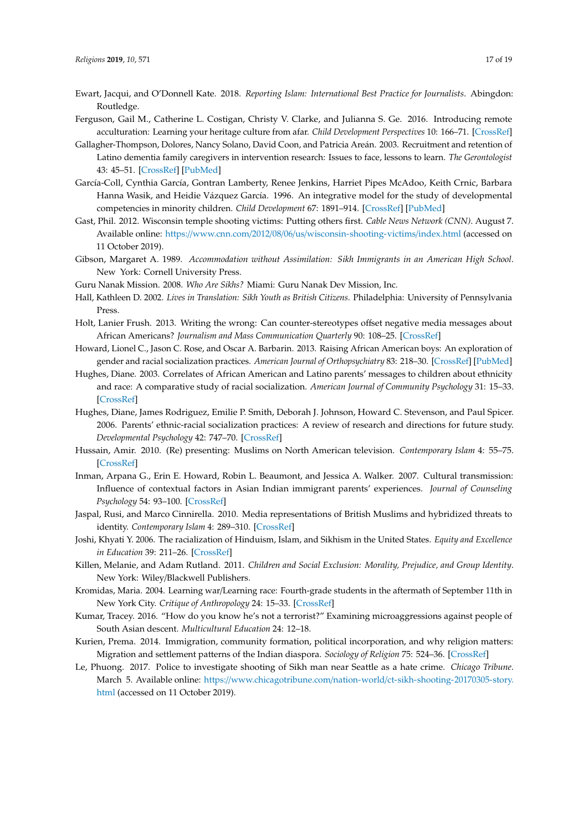- <span id="page-16-14"></span>Ewart, Jacqui, and O'Donnell Kate. 2018. *Reporting Islam: International Best Practice for Journalists*. Abingdon: Routledge.
- <span id="page-16-9"></span>Ferguson, Gail M., Catherine L. Costigan, Christy V. Clarke, and Julianna S. Ge. 2016. Introducing remote acculturation: Learning your heritage culture from afar. *Child Development Perspectives* 10: 166–71. [\[CrossRef\]](http://dx.doi.org/10.1111/cdep.12181)
- <span id="page-16-17"></span>Gallagher-Thompson, Dolores, Nancy Solano, David Coon, and Patricia Areán. 2003. Recruitment and retention of Latino dementia family caregivers in intervention research: Issues to face, lessons to learn. *The Gerontologist* 43: 45–51. [\[CrossRef\]](http://dx.doi.org/10.1093/geront/43.1.45) [\[PubMed\]](http://www.ncbi.nlm.nih.gov/pubmed/12604745)
- <span id="page-16-7"></span>García-Coll, Cynthia García, Gontran Lamberty, Renee Jenkins, Harriet Pipes McAdoo, Keith Crnic, Barbara Hanna Wasik, and Heidie Vázquez García. 1996. An integrative model for the study of developmental competencies in minority children. *Child Development* 67: 1891–914. [\[CrossRef\]](http://dx.doi.org/10.2307/1131600) [\[PubMed\]](http://www.ncbi.nlm.nih.gov/pubmed/9022222)
- <span id="page-16-0"></span>Gast, Phil. 2012. Wisconsin temple shooting victims: Putting others first. *Cable News Network (CNN)*. August 7. Available online: https://www.cnn.com/2012/08/06/us/[wisconsin-shooting-victims](https://www.cnn.com/2012/08/06/us/wisconsin-shooting-victims/index.html)/index.html (accessed on 11 October 2019).
- <span id="page-16-6"></span>Gibson, Margaret A. 1989. *Accommodation without Assimilation: Sikh Immigrants in an American High School*. New York: Cornell University Press.
- <span id="page-16-4"></span>Guru Nanak Mission. 2008. *Who Are Sikhs?* Miami: Guru Nanak Dev Mission, Inc.
- <span id="page-16-19"></span>Hall, Kathleen D. 2002. *Lives in Translation: Sikh Youth as British Citizens*. Philadelphia: University of Pennsylvania Press.
- <span id="page-16-13"></span>Holt, Lanier Frush. 2013. Writing the wrong: Can counter-stereotypes offset negative media messages about African Americans? *Journalism and Mass Communication Quarterly* 90: 108–25. [\[CrossRef\]](http://dx.doi.org/10.1177/1077699012468699)
- <span id="page-16-12"></span>Howard, Lionel C., Jason C. Rose, and Oscar A. Barbarin. 2013. Raising African American boys: An exploration of gender and racial socialization practices. *American Journal of Orthopsychiatry* 83: 218–30. [\[CrossRef\]](http://dx.doi.org/10.1111/ajop.12031) [\[PubMed\]](http://www.ncbi.nlm.nih.gov/pubmed/23889014)
- <span id="page-16-10"></span>Hughes, Diane. 2003. Correlates of African American and Latino parents' messages to children about ethnicity and race: A comparative study of racial socialization. *American Journal of Community Psychology* 31: 15–33. [\[CrossRef\]](http://dx.doi.org/10.1023/A:1023066418688)
- <span id="page-16-8"></span>Hughes, Diane, James Rodriguez, Emilie P. Smith, Deborah J. Johnson, Howard C. Stevenson, and Paul Spicer. 2006. Parents' ethnic-racial socialization practices: A review of research and directions for future study. *Developmental Psychology* 42: 747–70. [\[CrossRef\]](http://dx.doi.org/10.1037/0012-1649.42.5.747)
- <span id="page-16-15"></span>Hussain, Amir. 2010. (Re) presenting: Muslims on North American television. *Contemporary Islam* 4: 55–75. [\[CrossRef\]](http://dx.doi.org/10.1007/s11562-009-0109-8)
- <span id="page-16-11"></span>Inman, Arpana G., Erin E. Howard, Robin L. Beaumont, and Jessica A. Walker. 2007. Cultural transmission: Influence of contextual factors in Asian Indian immigrant parents' experiences. *Journal of Counseling Psychology* 54: 93–100. [\[CrossRef\]](http://dx.doi.org/10.1037/0022-0167.54.1.93)
- <span id="page-16-20"></span>Jaspal, Rusi, and Marco Cinnirella. 2010. Media representations of British Muslims and hybridized threats to identity. *Contemporary Islam* 4: 289–310. [\[CrossRef\]](http://dx.doi.org/10.1007/s11562-010-0126-7)
- <span id="page-16-16"></span>Joshi, Khyati Y. 2006. The racialization of Hinduism, Islam, and Sikhism in the United States. *Equity and Excellence in Education* 39: 211–26. [\[CrossRef\]](http://dx.doi.org/10.1080/10665680600790327)
- <span id="page-16-18"></span>Killen, Melanie, and Adam Rutland. 2011. *Children and Social Exclusion: Morality, Prejudice, and Group Identity*. New York: Wiley/Blackwell Publishers.
- <span id="page-16-2"></span>Kromidas, Maria. 2004. Learning war/Learning race: Fourth-grade students in the aftermath of September 11th in New York City. *Critique of Anthropology* 24: 15–33. [\[CrossRef\]](http://dx.doi.org/10.1177/0308275X04041081)
- <span id="page-16-3"></span>Kumar, Tracey. 2016. "How do you know he's not a terrorist?" Examining microaggressions against people of South Asian descent. *Multicultural Education* 24: 12–18.
- <span id="page-16-5"></span>Kurien, Prema. 2014. Immigration, community formation, political incorporation, and why religion matters: Migration and settlement patterns of the Indian diaspora. *Sociology of Religion* 75: 524–36. [\[CrossRef\]](http://dx.doi.org/10.1093/socrel/sru060)
- <span id="page-16-1"></span>Le, Phuong. 2017. Police to investigate shooting of Sikh man near Seattle as a hate crime. *Chicago Tribune*. March 5. Available online: https://www.chicagotribune.com/nation-world/[ct-sikh-shooting-20170305-story.](https://www.chicagotribune.com/nation-world/ct-sikh-shooting-20170305-story.html) [html](https://www.chicagotribune.com/nation-world/ct-sikh-shooting-20170305-story.html) (accessed on 11 October 2019).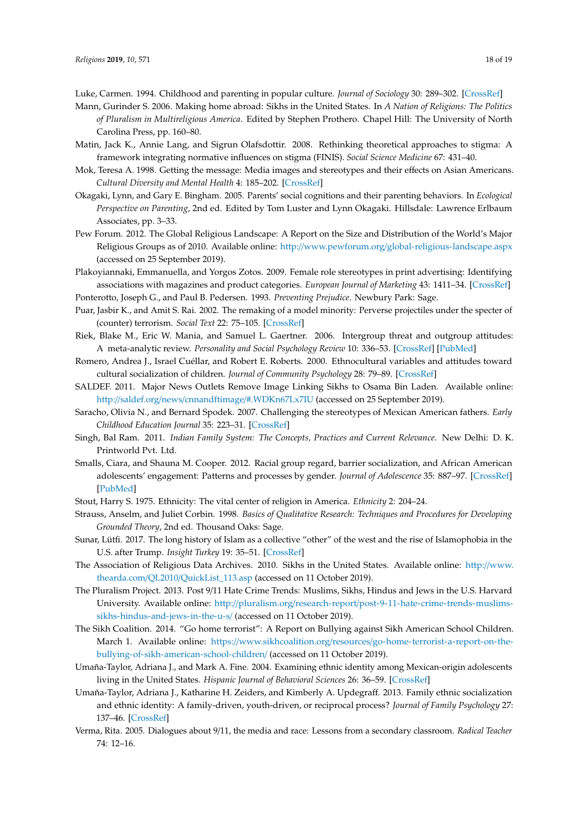<span id="page-17-20"></span>Luke, Carmen. 1994. Childhood and parenting in popular culture. *Journal of Sociology* 30: 289–302. [\[CrossRef\]](http://dx.doi.org/10.1177/144078339403000304)

- <span id="page-17-3"></span>Mann, Gurinder S. 2006. Making home abroad: Sikhs in the United States. In *A Nation of Religions: The Politics of Pluralism in Multireligious America*. Edited by Stephen Prothero. Chapel Hill: The University of North Carolina Press, pp. 160–80.
- <span id="page-17-13"></span>Matin, Jack K., Annie Lang, and Sigrun Olafsdottir. 2008. Rethinking theoretical approaches to stigma: A framework integrating normative influences on stigma (FINIS). *Social Science Medicine* 67: 431–40.
- <span id="page-17-15"></span>Mok, Teresa A. 1998. Getting the message: Media images and stereotypes and their effects on Asian Americans. *Cultural Diversity and Mental Health* 4: 185–202. [\[CrossRef\]](http://dx.doi.org/10.1037/1099-9809.4.3.185)
- <span id="page-17-9"></span>Okagaki, Lynn, and Gary E. Bingham. 2005. Parents' social cognitions and their parenting behaviors. In *Ecological Perspective on Parenting*, 2nd ed. Edited by Tom Luster and Lynn Okagaki. Hillsdale: Lawrence Erlbaum Associates, pp. 3–33.
- <span id="page-17-5"></span>Pew Forum. 2012. The Global Religious Landscape: A Report on the Size and Distribution of the World's Major Religious Groups as of 2010. Available online: http://www.pewforum.org/[global-religious-landscape.aspx](http://www.pewforum.org/global-religious-landscape.aspx) (accessed on 25 September 2019).
- <span id="page-17-17"></span>Plakoyiannaki, Emmanuella, and Yorgos Zotos. 2009. Female role stereotypes in print advertising: Identifying associations with magazines and product categories. *European Journal of Marketing* 43: 1411–34. [\[CrossRef\]](http://dx.doi.org/10.1108/03090560910989966)
- <span id="page-17-19"></span>Ponterotto, Joseph G., and Paul B. Pedersen. 1993. *Preventing Prejudice*. Newbury Park: Sage.
- <span id="page-17-6"></span>Puar, Jasbir K., and Amit S. Rai. 2002. The remaking of a model minority: Perverse projectiles under the specter of (counter) terrorism. *Social Text* 22: 75–105. [\[CrossRef\]](http://dx.doi.org/10.1215/01642472-22-3_80-75)
- <span id="page-17-23"></span>Riek, Blake M., Eric W. Mania, and Samuel L. Gaertner. 2006. Intergroup threat and outgroup attitudes: A meta-analytic review. *Personality and Social Psychology Review* 10: 336–53. [\[CrossRef\]](http://dx.doi.org/10.1207/s15327957pspr1004_4) [\[PubMed\]](http://www.ncbi.nlm.nih.gov/pubmed/17201592)
- <span id="page-17-10"></span>Romero, Andrea J., Israel Cuéllar, and Robert E. Roberts. 2000. Ethnocultural variables and attitudes toward cultural socialization of children. *Journal of Community Psychology* 28: 79–89. [\[CrossRef\]](http://dx.doi.org/10.1002/(SICI)1520-6629(200001)28:1<79::AID-JCOP8>3.0.CO;2-N)
- <span id="page-17-16"></span>SALDEF. 2011. Major News Outlets Remove Image Linking Sikhs to Osama Bin Laden. Available online: http://saldef.org/news/cnnandftimage/[#.WDKn67Lx7IU](http://saldef.org/news/cnnandftimage/#.WDKn67Lx7IU) (accessed on 25 September 2019).
- <span id="page-17-18"></span>Saracho, Olivia N., and Bernard Spodek. 2007. Challenging the stereotypes of Mexican American fathers. *Early Childhood Education Journal* 35: 223–31. [\[CrossRef\]](http://dx.doi.org/10.1007/s10643-007-0199-y)
- <span id="page-17-21"></span>Singh, Bal Ram. 2011. *Indian Family System: The Concepts, Practices and Current Relevance*. New Delhi: D. K. Printworld Pvt. Ltd.
- <span id="page-17-14"></span>Smalls, Ciara, and Shauna M. Cooper. 2012. Racial group regard, barrier socialization, and African American adolescents' engagement: Patterns and processes by gender. *Journal of Adolescence* 35: 887–97. [\[CrossRef\]](http://dx.doi.org/10.1016/j.adolescence.2011.12.007) [\[PubMed\]](http://www.ncbi.nlm.nih.gov/pubmed/22248921)
- <span id="page-17-11"></span>Stout, Harry S. 1975. Ethnicity: The vital center of religion in America. *Ethnicity* 2: 204–24.
- <span id="page-17-22"></span>Strauss, Anselm, and Juliet Corbin. 1998. *Basics of Qualitative Research: Techniques and Procedures for Developing Grounded Theory*, 2nd ed. Thousand Oaks: Sage.
- <span id="page-17-0"></span>Sunar, Lütfi. 2017. The long history of Islam as a collective "other" of the west and the rise of Islamophobia in the U.S. after Trump. *Insight Turkey* 19: 35–51. [\[CrossRef\]](http://dx.doi.org/10.25253/99.2017193.03)
- <span id="page-17-4"></span>The Association of Religious Data Archives. 2010. Sikhs in the United States. Available online: http://[www.](http://www.thearda.com/QL2010/QuickList_113.asp) thearda.com/QL2010/[QuickList\\_113.asp](http://www.thearda.com/QL2010/QuickList_113.asp) (accessed on 11 October 2019).
- <span id="page-17-1"></span>The Pluralism Project. 2013. Post 9/11 Hate Crime Trends: Muslims, Sikhs, Hindus and Jews in the U.S. Harvard University. Available online: http://pluralism.org/research-report/[post-9-11-hate-crime-trends-muslims](http://pluralism.org/research-report/post-9-11-hate-crime-trends-muslims-sikhs-hindus-and-jews-in-the-u-s/)[sikhs-hindus-and-jews-in-the-u-s](http://pluralism.org/research-report/post-9-11-hate-crime-trends-muslims-sikhs-hindus-and-jews-in-the-u-s/)/ (accessed on 11 October 2019).
- <span id="page-17-2"></span>The Sikh Coalition. 2014. "Go home terrorist": A Report on Bullying against Sikh American School Children. March 1. Available online: https://www.sikhcoalition.org/resources/[go-home-terrorist-a-report-on-the](https://www.sikhcoalition.org/resources/go-home-terrorist-a-report-on-the-bullying-of-sikh-american-school-children/)[bullying-of-sikh-american-school-children](https://www.sikhcoalition.org/resources/go-home-terrorist-a-report-on-the-bullying-of-sikh-american-school-children/)/ (accessed on 11 October 2019).
- <span id="page-17-8"></span>Umaña-Taylor, Adriana J., and Mark A. Fine. 2004. Examining ethnic identity among Mexican-origin adolescents living in the United States. *Hispanic Journal of Behavioral Sciences* 26: 36–59. [\[CrossRef\]](http://dx.doi.org/10.1177/0739986303262143)
- <span id="page-17-12"></span>Umaña-Taylor, Adriana J., Katharine H. Zeiders, and Kimberly A. Updegraff. 2013. Family ethnic socialization and ethnic identity: A family-driven, youth-driven, or reciprocal process? *Journal of Family Psychology* 27: 137–46. [\[CrossRef\]](http://dx.doi.org/10.1037/a0031105)
- <span id="page-17-7"></span>Verma, Rita. 2005. Dialogues about 9/11, the media and race: Lessons from a secondary classroom. *Radical Teacher*  $74 \cdot 12 - 16$